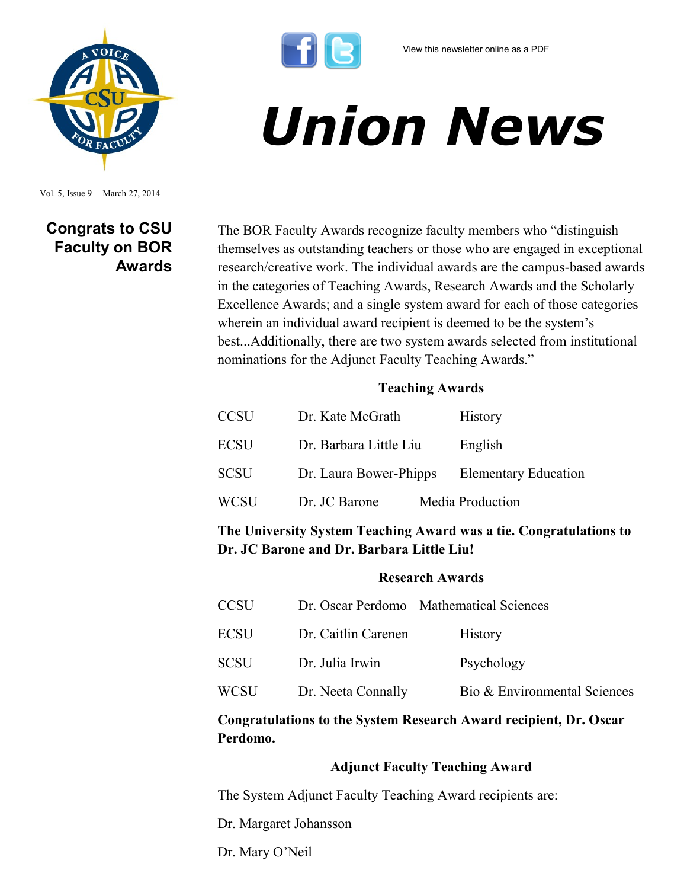

Vol. 5, Issue 9 | March 27, 2014

# **Congrats to CSU Faculty on BOR Awards**

The BOR Faculty Awards recognize faculty members who "distinguish themselves as outstanding teachers or those who are engaged in exceptional research/creative work. The individual awards are the campus-based awards in the categories of Teaching Awards, Research Awards and the Scholarly Excellence Awards; and a single system award for each of those categories wherein an individual award recipient is deemed to be the system's best...Additionally, there are two system awards selected from institutional nominations for the Adjunct Faculty Teaching Awards."

*Union News*

### **Teaching Awards**

| <b>CCSU</b> | Dr. Kate McGrath       |  | History                     |
|-------------|------------------------|--|-----------------------------|
| <b>ECSU</b> | Dr. Barbara Little Liu |  | English                     |
| <b>SCSU</b> | Dr. Laura Bower-Phipps |  | <b>Elementary Education</b> |
| <b>WCSU</b> | Dr. JC Barone          |  | Media Production            |

**The University System Teaching Award was a tie. Congratulations to Dr. JC Barone and Dr. Barbara Little Liu!**

### **Research Awards**

| <b>CCSU</b> |                     | Dr. Oscar Perdomo Mathematical Sciences |
|-------------|---------------------|-----------------------------------------|
| <b>ECSU</b> | Dr. Caitlin Carenen | <b>History</b>                          |
| <b>SCSU</b> | Dr. Julia Irwin     | Psychology                              |
| WCSU        | Dr. Neeta Connally  | Bio & Environmental Sciences            |

### **Congratulations to the System Research Award recipient, Dr. Oscar Perdomo.**

### **Adjunct Faculty Teaching Award**

The System Adjunct Faculty Teaching Award recipients are:

Dr. Margaret Johansson

Dr. Mary O'Neil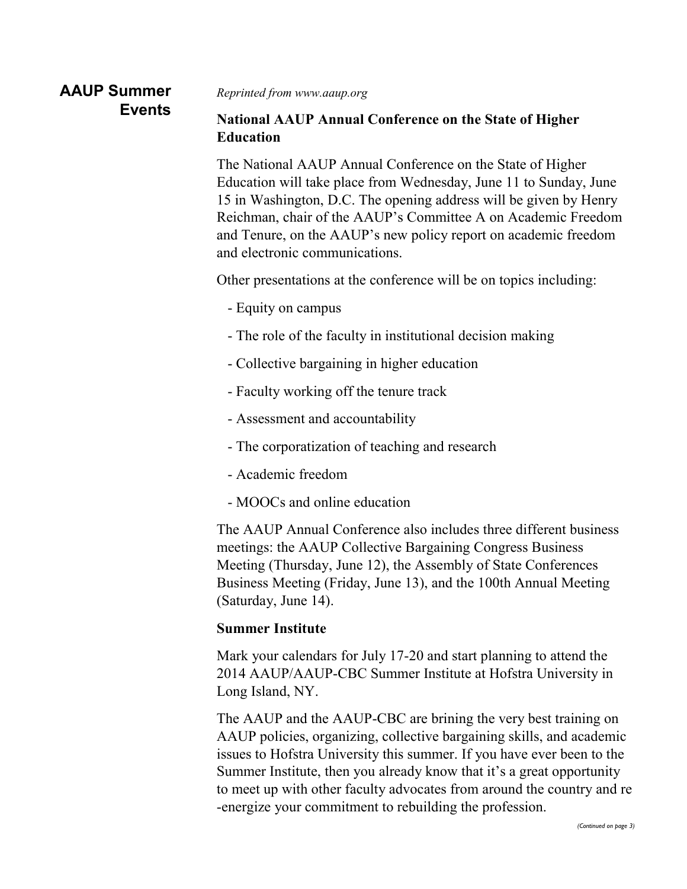# **AAUP Summer Events**

*Reprinted from www.aaup.org*

### **National AAUP Annual Conference on the State of Higher Education**

The National AAUP Annual Conference on the State of Higher Education will take place from Wednesday, June 11 to Sunday, June 15 in Washington, D.C. The opening address will be given by Henry Reichman, chair of the AAUP's Committee A on Academic Freedom and Tenure, on the AAUP's new policy report on academic freedom and electronic communications.

Other presentations at the conference will be on topics including:

- Equity on campus
- The role of the faculty in institutional decision making
- Collective bargaining in higher education
- Faculty working off the tenure track
- Assessment and accountability
- The corporatization of teaching and research
- Academic freedom
- MOOCs and online education

The AAUP Annual Conference also includes three different business meetings: the AAUP Collective Bargaining Congress Business Meeting (Thursday, June 12), the Assembly of State Conferences Business Meeting (Friday, June 13), and the 100th Annual Meeting (Saturday, June 14).

### **Summer Institute**

Mark your calendars for July 17-20 and start planning to attend the 2014 AAUP/AAUP-CBC Summer Institute at Hofstra University in Long Island, NY.

The AAUP and the AAUP-CBC are brining the very best training on AAUP policies, organizing, collective bargaining skills, and academic issues to Hofstra University this summer. If you have ever been to the Summer Institute, then you already know that it's a great opportunity to meet up with other faculty advocates from around the country and re -energize your commitment to rebuilding the profession.